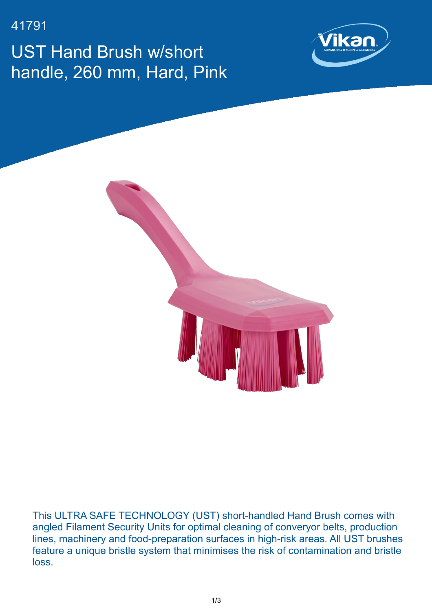41791

UST Hand Brush w/short handle, 260 mm, Hard, Pink





This ULTRA SAFE TECHNOLOGY (UST) short-handled Hand Brush comes with angled Filament Security Units for optimal cleaning of converyor belts, production lines, machinery and food-preparation surfaces in high-risk areas. All UST brushes feature a unique bristle system that minimises the risk of contamination and bristle loss.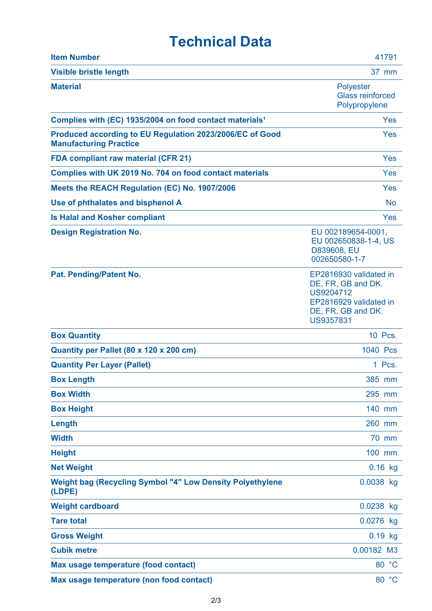## **Technical Data**

| <b>Item Number</b>                                                                        | 41791                                                                                                                         |
|-------------------------------------------------------------------------------------------|-------------------------------------------------------------------------------------------------------------------------------|
| <b>Visible bristle length</b>                                                             | 37 mm                                                                                                                         |
| <b>Material</b>                                                                           | <b>Polyester</b><br><b>Glass reinforced</b><br>Polypropylene                                                                  |
| Complies with (EC) 1935/2004 on food contact materials <sup>1</sup>                       | Yes                                                                                                                           |
| Produced according to EU Regulation 2023/2006/EC of Good<br><b>Manufacturing Practice</b> | <b>Yes</b>                                                                                                                    |
| <b>FDA compliant raw material (CFR 21)</b>                                                | Yes                                                                                                                           |
| Complies with UK 2019 No. 704 on food contact materials                                   | <b>Yes</b>                                                                                                                    |
| Meets the REACH Regulation (EC) No. 1907/2006                                             | Yes                                                                                                                           |
| Use of phthalates and bisphenol A                                                         | <b>No</b>                                                                                                                     |
| <b>Is Halal and Kosher compliant</b>                                                      | <b>Yes</b>                                                                                                                    |
| <b>Design Registration No.</b>                                                            | EU 002189654-0001,<br>EU 002650838-1-4, US<br>D839608, EU<br>002650580-1-7                                                    |
| Pat. Pending/Patent No.                                                                   | EP2816930 validated in<br>DE, FR, GB and DK.<br>US9204712<br>EP2816929 validated in<br>DE, FR, GB and DK.<br><b>US9357831</b> |
| <b>Box Quantity</b>                                                                       | 10 Pcs.                                                                                                                       |
| Quantity per Pallet (80 x 120 x 200 cm)                                                   | 1040 Pcs                                                                                                                      |
| <b>Quantity Per Layer (Pallet)</b>                                                        | 1 Pcs.                                                                                                                        |
| <b>Box Length</b>                                                                         | 385 mm                                                                                                                        |
| <b>Box Width</b>                                                                          | 295 mm                                                                                                                        |
| <b>Box Height</b>                                                                         | 140 mm                                                                                                                        |
| Length                                                                                    | 260 mm                                                                                                                        |
| <b>Width</b>                                                                              | 70 mm                                                                                                                         |
| <b>Height</b>                                                                             | 100 mm                                                                                                                        |
| <b>Net Weight</b>                                                                         | $0.16$ kg                                                                                                                     |
| <b>Weight bag (Recycling Symbol "4" Low Density Polyethylene</b><br>(LDPE)                | 0.0038 kg                                                                                                                     |
| <b>Weight cardboard</b>                                                                   | 0.0238 kg                                                                                                                     |
| <b>Tare total</b>                                                                         | 0.0276 kg                                                                                                                     |
| <b>Gross Weight</b>                                                                       | $0.19$ kg                                                                                                                     |
| <b>Cubik metre</b>                                                                        | 0.00182 M3                                                                                                                    |
| Max usage temperature (food contact)                                                      | 80 °C                                                                                                                         |
| Max usage temperature (non food contact)                                                  | 80 °C                                                                                                                         |